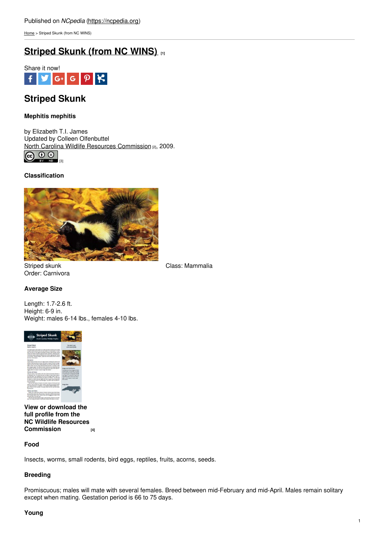[Home](https://ncpedia.org/) > Striped Skunk (from NC WINS)

# **[Striped](https://ncpedia.org/striped-skunk-nc-wins) Skunk (from NC WINS) [1]**



# **Striped Skunk**

## **Mephitis mephitis**

by Elizabeth T.I. James Updated by Colleen Olfenbuttel North Carolina Wildlife Resources [Commission](https://www.ncwildlife.org/) [2], 2009.



## **Classification**



Order: Carnivora

Striped skunk Class: Mammalia

## **Average Size**

Length: 1.7-2.6 ft. Height: 6-9 in. Weight: males 6-14 lbs., females 4-10 lbs.



**View or download the full profile from the NC Wildlife Resources [Commission](https://www.ncwildlife.org/Portals/0/Learning/documents/Profiles/skunk.pdf) [4]**

## **Food**

Insects, worms, small rodents, bird eggs, reptiles, fruits, acorns, seeds.

## **Breeding**

Promiscuous; males will mate with several females. Breed between mid-February and mid-April. Males remain solitary except when mating. Gestation period is 66 to 75 days.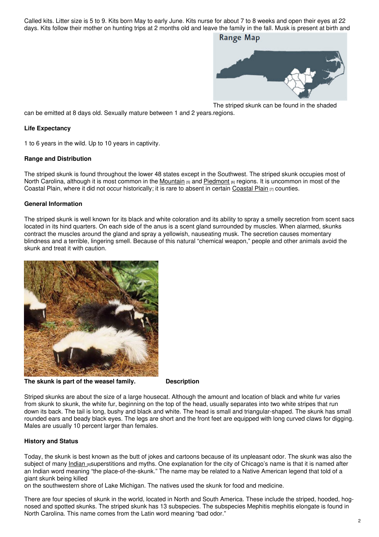Called kits. Litter size is 5 to 9. Kits born May to early June. Kits nurse for about 7 to 8 weeks and open their eyes at 22 days. Kits follow their mother on hunting trips at 2 months old and leave the family in the fall. Musk is present at birth and

## **Range Map**



The striped skunk can be found in the shaded

can be emitted at 8 days old. Sexually mature between 1 and 2 years. regions.

#### **Life Expectancy**

1 to 6 years in the wild. Up to 10 years in captivity.

#### **Range and Distribution**

The striped skunk is found throughout the lower 48 states except in the Southwest. The striped skunk occupies most of North Carolina, although it is most common in the [Mountain](https://ncpedia.org/our-state-geography-snap-mountain) [5] and [Piedmont](https://ncpedia.org/geography/region/piedmont) [6] regions. It is uncommon in most of the [Coastal](https://ncpedia.org/geography/region/coastal-plain) Plain, where it did not occur historically; it is rare to absent in certain Coastal Plain  $_{[7]}$  counties.

#### **General Information**

The striped skunk is well known for its black and white coloration and its ability to spray a smelly secretion from scent sacs located in its hind quarters. On each side of the anus is a scent gland surrounded by muscles. When alarmed, skunks contract the muscles around the gland and spray a yellowish, nauseating musk. The secretion causes momentary blindness and a terrible, lingering smell. Because of this natural "chemical weapon," people and other animals avoid the skunk and treat it with caution.



**The skunk is part of the weasel family. Description**

Striped skunks are about the size of a large housecat. Although the amount and location of black and white fur varies from skunk to skunk, the white fur, beginning on the top of the head, usually separates into two white stripes that run down its back. The tail is long, bushy and black and white. The head is small and triangular-shaped. The skunk has small rounded ears and beady black eyes. The legs are short and the front feet are equipped with long curved claws for digging. Males are usually 10 percent larger than females.

## **History and Status**

Today, the skunk is best known as the butt of jokes and cartoons because of its unpleasant odor. The skunk was also the subject of many [Indian](https://ncpedia.org/american-indians/introduction) [8]superstitions and myths. One explanation for the city of Chicago's name is that it is named after an Indian word meaning "the place-of-the-skunk." The name may be related to a Native American legend that told of a giant skunk being killed

on the southwestern shore of Lake Michigan. The natives used the skunk for food and medicine.

There are four species of skunk in the world, located in North and South America. These include the striped, hooded, hognosed and spotted skunks. The striped skunk has 13 subspecies. The subspecies Mephitis mephitis elongate is found in North Carolina. This name comes from the Latin word meaning "bad odor."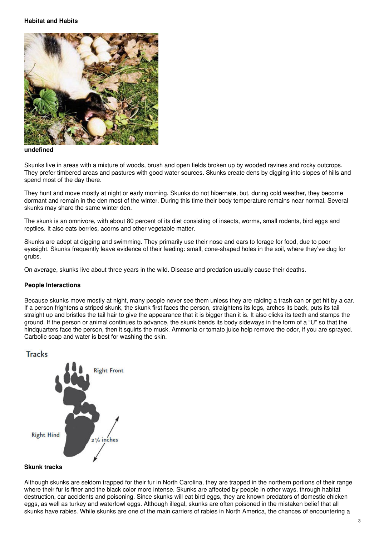#### **Habitat and Habits**



#### **undefined**

Skunks live in areas with a mixture of woods, brush and open fields broken up by wooded ravines and rocky outcrops. They prefer timbered areas and pastures with good water sources. Skunks create dens by digging into slopes of hills and spend most of the day there.

They hunt and move mostly at night or early morning. Skunks do not hibernate, but, during cold weather, they become dormant and remain in the den most of the winter. During this time their body temperature remains near normal. Several skunks may share the same winter den.

The skunk is an omnivore, with about 80 percent of its diet consisting of insects, worms, small rodents, bird eggs and reptiles. It also eats berries, acorns and other vegetable matter.

Skunks are adept at digging and swimming. They primarily use their nose and ears to forage for food, due to poor eyesight. Skunks frequently leave evidence of their feeding: small, cone-shaped holes in the soil, where they've dug for grubs.

On average, skunks live about three years in the wild. Disease and predation usually cause their deaths.

#### **People Interactions**

Because skunks move mostly at night, many people never see them unless they are raiding a trash can or get hit by a car. If a person frightens a striped skunk, the skunk first faces the person, straightens its legs, arches its back, puts its tail straight up and bristles the tail hair to give the appearance that it is bigger than it is. It also clicks its teeth and stamps the ground. If the person or animal continues to advance, the skunk bends its body sideways in the form of a "U" so that the hindquarters face the person, then it squirts the musk. Ammonia or tomato juice help remove the odor, if you are sprayed. Carbolic soap and water is best for washing the skin.

## **Tracks**



#### **Skunk tracks**

Although skunks are seldom trapped for their fur in North Carolina, they are trapped in the northern portions of their range where their fur is finer and the black color more intense. Skunks are affected by people in other ways, through habitat destruction, car accidents and poisoning. Since skunks will eat bird eggs, they are known predators of domestic chicken eggs, as well as turkey and waterfowl eggs. Although illegal, skunks are often poisoned in the mistaken belief that all skunks have rabies. While skunks are one of the main carriers of rabies in North America, the chances of encountering a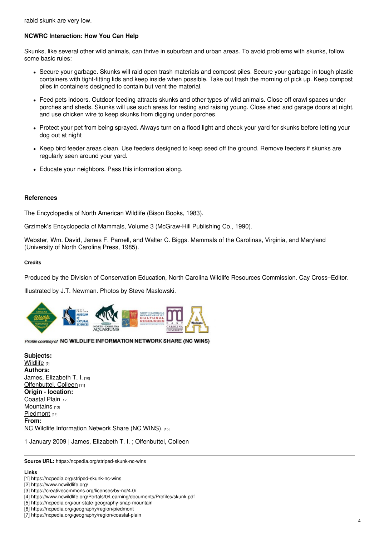rabid skunk are very low.

# **NCWRC Interaction: How You Can Help**

Skunks, like several other wild animals, can thrive in suburban and urban areas. To avoid problems with skunks, follow some basic rules:

- Secure your garbage. Skunks will raid open trash materials and compost piles. Secure your garbage in tough plastic containers with tight-fitting lids and keep inside when possible. Take out trash the morning of pick up. Keep compost piles in containers designed to contain but vent the material.
- Feed pets indoors. Outdoor feeding attracts skunks and other types of wild animals. Close off crawl spaces under porches and sheds. Skunks will use such areas for resting and raising young. Close shed and garage doors at night, and use chicken wire to keep skunks from digging under porches.
- Protect your pet from being sprayed. Always turn on a flood light and check your yard for skunks before letting your dog out at night
- Keep bird feeder areas clean. Use feeders designed to keep seed off the ground. Remove feeders if skunks are regularly seen around your yard.
- Educate your neighbors. Pass this information along.

## **References**

The Encyclopedia of North American Wildlife (Bison Books, 1983).

Grzimek's Encyclopedia of Mammals, Volume 3 (McGraw-Hill Publishing Co., 1990).

Webster, Wm. David, James F. Parnell, and Walter C. Biggs. Mammals of the Carolinas, Virginia, and Maryland (University of North Carolina Press, 1985).

#### **Credits**

Produced by the Division of Conservation Education, North Carolina Wildlife Resources Commission. Cay Cross–Editor.

Illustrated by J.T. Newman. Photos by Steve Maslowski.



#### Profile courtesy of NC WILDLIFE INFORMATION NETWORK SHARE (NC WINS)

**Subjects: [Wildlife](https://ncpedia.org/category/subjects/wildlife)** [9] **Authors:** James, [Elizabeth](https://ncpedia.org/category/authors/james-elizabeth-t-) T. I. [10] [Olfenbuttel,](https://ncpedia.org/category/authors/olfenbuttel-collee) Colleen [11] **Origin - location:** [Coastal](https://ncpedia.org/category/origin-location/coastal-pl) Plain [12] [Mountains](https://ncpedia.org/category/origin-location/mountains) [13] [Piedmont](https://ncpedia.org/category/origin-location/piedmont) [14] **From:** NC Wildlife [Information](https://ncpedia.org/category/entry-source/nc-wildlife-i) Network Share (NC WINS). [15]

1 January 2009 | James, Elizabeth T. I. ; Olfenbuttel, Colleen

**Source URL:** https://ncpedia.org/striped-skunk-nc-wins

#### **Links**

[4] https://www.ncwildlife.org/Portals/0/Learning/documents/Profiles/skunk.pdf

[6] https://ncpedia.org/geography/region/piedmont

<sup>[1]</sup> https://ncpedia.org/striped-skunk-nc-wins

<sup>[2]</sup> https://www.ncwildlife.org/

<sup>[3]</sup> https://creativecommons.org/licenses/by-nd/4.0/

<sup>[5]</sup> https://ncpedia.org/our-state-geography-snap-mountain

<sup>[7]</sup> https://ncpedia.org/geography/region/coastal-plain